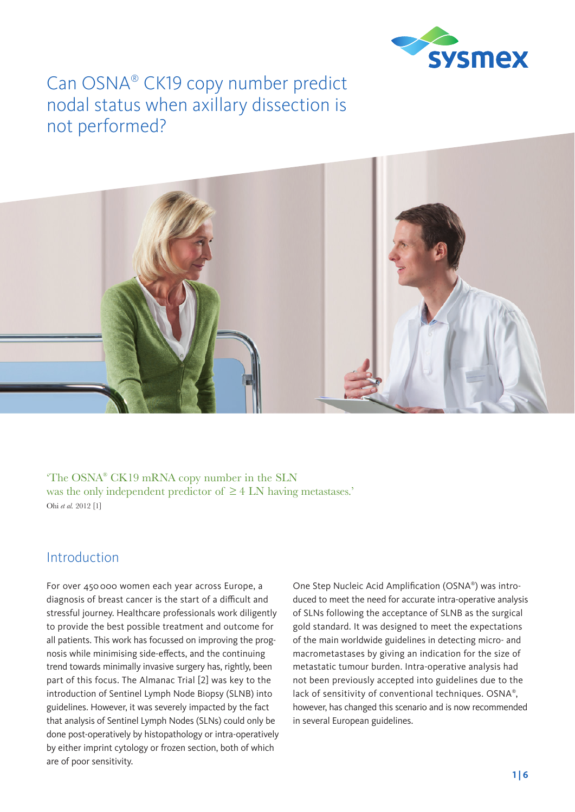

# Can OSNA® CK19 copy number predict nodal status when axillary dissection is not performed?



'The OSNA® CK19 mRNA copy number in the SLN was the only independent predictor of  $\geq$  4 LN having metastases.' Ohi *et al.* 2012 [1]

### Introduction

For over 450 000 women each year across Europe, a diagnosis of breast cancer is the start of a difficult and stressful journey. Healthcare professionals work diligently to provide the best possible treatment and outcome for all patients. This work has focussed on improving the prognosis while minimising side-effects, and the continuing trend towards minimally invasive surgery has, rightly, been part of this focus. The Almanac Trial [2] was key to the introduction of Sentinel Lymph Node Biopsy (SLNB) into guidelines. However, it was severely impacted by the fact that analysis of Sentinel Lymph Nodes (SLNs) could only be done post-operatively by histopathology or intra-operatively by either imprint cytology or frozen section, both of which are of poor sensitivity.

One Step Nucleic Acid Amplification (OSNA®) was introduced to meet the need for accurate intra-operative analysis of SLNs following the acceptance of SLNB as the surgical gold standard. It was designed to meet the expectations of the main worldwide guidelines in detecting micro- and macrometastases by giving an indication for the size of metastatic tumour burden. Intra-operative analysis had not been previously accepted into guidelines due to the lack of sensitivity of conventional techniques. OSNA® , however, has changed this scenario and is now recommended in several European guidelines.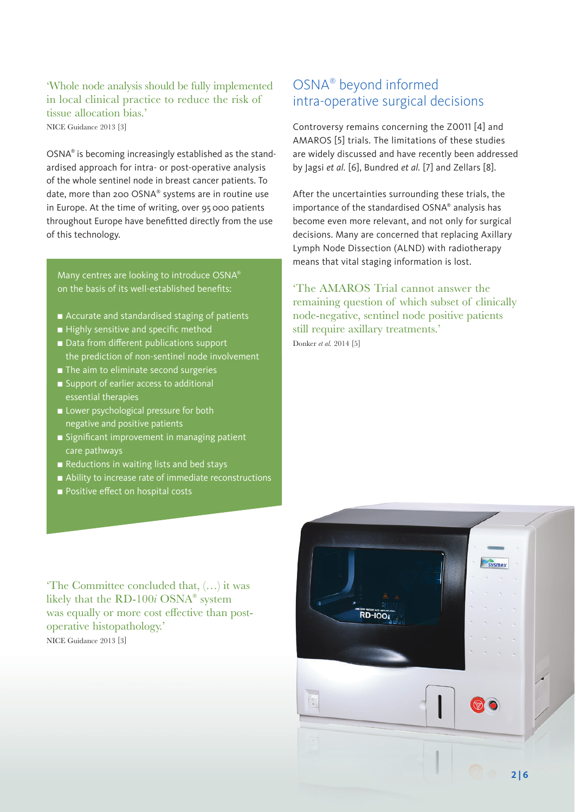### 'Whole node analysis should be fully implemented in local clinical practice to reduce the risk of tissue allocation bias.'

NICE Guidance 2013 [3]

OSNA® is becoming increasingly established as the standardised approach for intra- or post-operative analysis of the whole sentinel node in breast cancer patients. To date, more than 200 OSNA® systems are in routine use in Europe. At the time of writing, over 95 000 patients throughout Europe have benefitted directly from the use of this technology.

Many centres are looking to introduce OSNA® on the basis of its well-established benefits:

- $\blacksquare$  Accurate and standardised staging of patients
- Highly sensitive and specific method
- Data from different publications support the prediction of non-sentinel node involvement
- $\blacksquare$  The aim to eliminate second surgeries
- Support of earlier access to additional essential therapies
- **n** Lower psychological pressure for both negative and positive patients
- <sup>n</sup> Significant improvement in managing patient care pathways
- Reductions in waiting lists and bed stays
- $\blacksquare$  Ability to increase rate of immediate reconstructions
- **n** Positive effect on hospital costs

### OSNA® beyond informed intra-operative surgical decisions

Controversy remains concerning the Z0011 [4] and AMAROS [5] trials. The limitations of these studies are widely discussed and have recently been addressed by Jagsi *et al.* [6], Bundred *et al.* [7] and Zellars [8].

After the uncertainties surrounding these trials, the importance of the standardised OSNA® analysis has become even more relevant, and not only for surgical decisions. Many are concerned that replacing Axillary Lymph Node Dissection (ALND) with radiotherapy means that vital staging information is lost.

'The AMAROS Trial cannot answer the remaining question of which subset of clinically node-negative, sentinel node positive patients still require axillary treatments.' Donker *et al.* 2014 [5]

'The Committee concluded that, (…) it was likely that the RD-100*i* OSNA® system was equally or more cost effective than postoperative histopathology.' NICE Guidance 2013 [3]

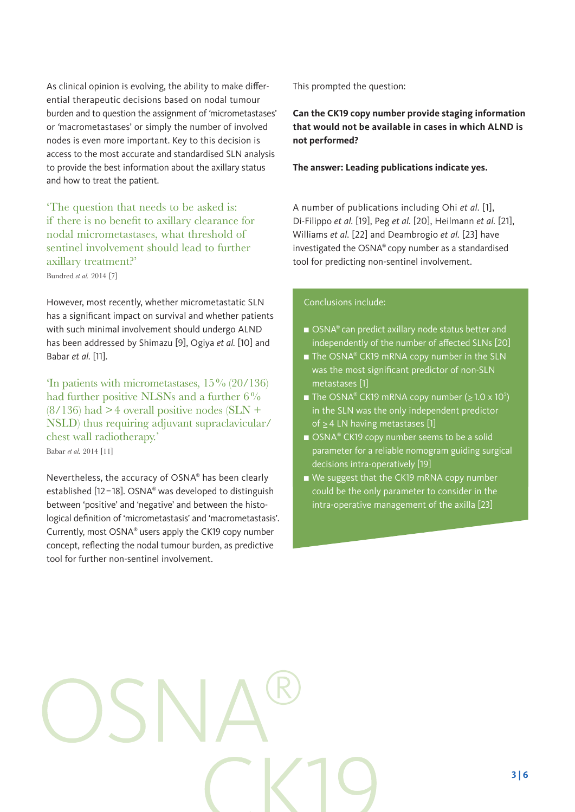As clinical opinion is evolving, the ability to make differential therapeutic decisions based on nodal tumour burden and to question the assignment of *'*micrometastases' or *'*macrometastases' or simply the number of involved nodes is even more important. Key to this decision is access to the most accurate and standardised SLN analysis to provide the best information about the axillary status and how to treat the patient.

'The question that needs to be asked is: if there is no benefit to axillary clearance for nodal micrometastases, what threshold of sentinel involvement should lead to further axillary treatment?' Bundred *et al.* 2014 [7]

However, most recently, whether micrometastatic SLN has a significant impact on survival and whether patients with such minimal involvement should undergo ALND has been addressed by Shimazu [9], Ogiya *et al.* [10] and Babar *et al.* [11].

'In patients with micrometastases, 15% (20/136) had further positive NLSNs and a further 6%  $(8/136)$  had  $>4$  overall positive nodes (SLN + NSLD) thus requiring adjuvant supraclavicular/ chest wall radiotherapy.'

Babar *et al.* 2014 [11]

Nevertheless, the accuracy of OSNA® has been clearly established [12–18]. OSNA® was developed to distinguish between 'positive' and 'negative' and between the histological definition of 'micrometastasis' and 'macrometastasis'. Currently, most OSNA® users apply the CK19 copy number concept, reflecting the nodal tumour burden, as predictive tool for further non-sentinel involvement.

This prompted the question:

**Can the CK19 copy number provide staging information that would not be available in cases in which ALND is not performed?**

#### **The answer: Leading publications indicate yes.**

A number of publications including Ohi *et al.* [1], Di-Filippo *et al.* [19], Peg *et al.* [20], Heilmann *et al.* [21], Williams *et al.* [22] and Deambrogio *et al.* [23] have investigated the OSNA® copy number as a standardised tool for predicting non-sentinel involvement.

#### Conclusions include:

- $\blacksquare$  OSNA® can predict axillary node status better and independently of the number of affected SLNs [20]
- $\blacksquare$  The OSNA® CK19 mRNA copy number in the SLN was the most significant predictor of non-SLN metastases [1]
- The OSNA® CK19 mRNA copy number ( $\geq$  1.0 x 10<sup>5</sup>) in the SLN was the only independent predictor of ≥4 LN having metastases [1]
- OSNA® CK19 copy number seems to be a solid parameter for a reliable nomogram guiding surgical decisions intra-operatively [19]
- We suggest that the CK19 mRNA copy number could be the only parameter to consider in the intra-operative management of the axilla [23]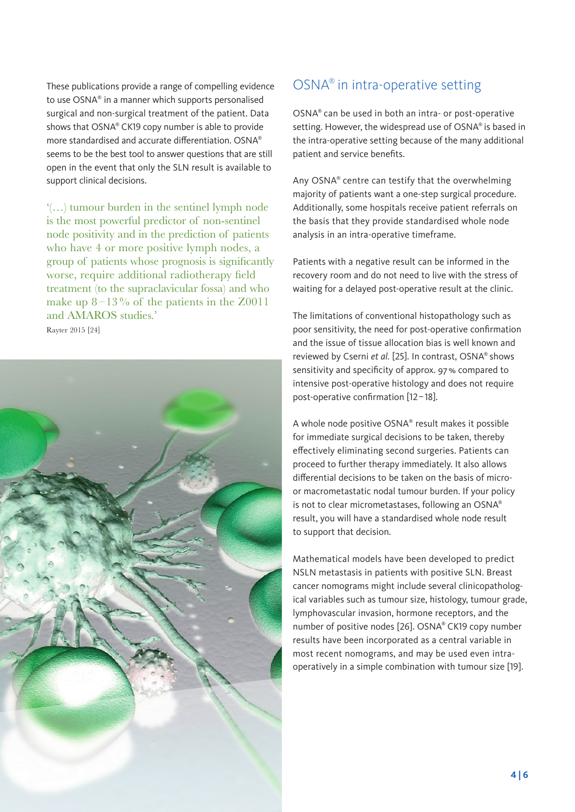These publications provide a range of compelling evidence to use OSNA® in a manner which supports personalised surgical and non-surgical treatment of the patient. Data shows that OSNA® CK19 copy number is able to provide more standardised and accurate differentiation. OSNA® seems to be the best tool to answer questions that are still open in the event that only the SLN result is available to support clinical decisions.

'(…) tumour burden in the sentinel lymph node is the most powerful predictor of non-sentinel node positivity and in the prediction of patients who have 4 or more positive lymph nodes, a group of patients whose prognosis is significantly worse, require additional radiotherapy field treatment (to the supraclavicular fossa) and who make up  $8-13\%$  of the patients in the Z0011 and AMAROS studies.' Rayter 2015 [24]



## OSNA® in intra-operative setting

OSNA® can be used in both an intra- or post-operative setting. However, the widespread use of OSNA® is based in the intra-operative setting because of the many additional patient and service benefits.

Any OSNA® centre can testify that the overwhelming majority of patients want a one-step surgical procedure. Additionally, some hospitals receive patient referrals on the basis that they provide standardised whole node analysis in an intra-operative timeframe.

Patients with a negative result can be informed in the recovery room and do not need to live with the stress of waiting for a delayed post-operative result at the clinic.

The limitations of conventional histopathology such as poor sensitivity, the need for post-operative confirmation and the issue of tissue allocation bias is well known and reviewed by Cserni *et al.* [25]. In contrast, OSNA® shows sensitivity and specificity of approx. 97% compared to intensive post-operative histology and does not require post-operative confirmation [12–18].

A whole node positive OSNA® result makes it possible for immediate surgical decisions to be taken, thereby effectively eliminating second surgeries. Patients can proceed to further therapy immediately. It also allows differential decisions to be taken on the basis of microor macrometastatic nodal tumour burden. If your policy is not to clear micrometastases, following an OSNA® result, you will have a standardised whole node result to support that decision.

Mathematical models have been developed to predict NSLN metastasis in patients with positive SLN. Breast cancer nomograms might include several clinicopathological variables such as tumour size, histology, tumour grade, lymphovascular invasion, hormone receptors, and the number of positive nodes [26]. OSNA® CK19 copy number results have been incorporated as a central variable in most recent nomograms, and may be used even intraoperatively in a simple combination with tumour size [19].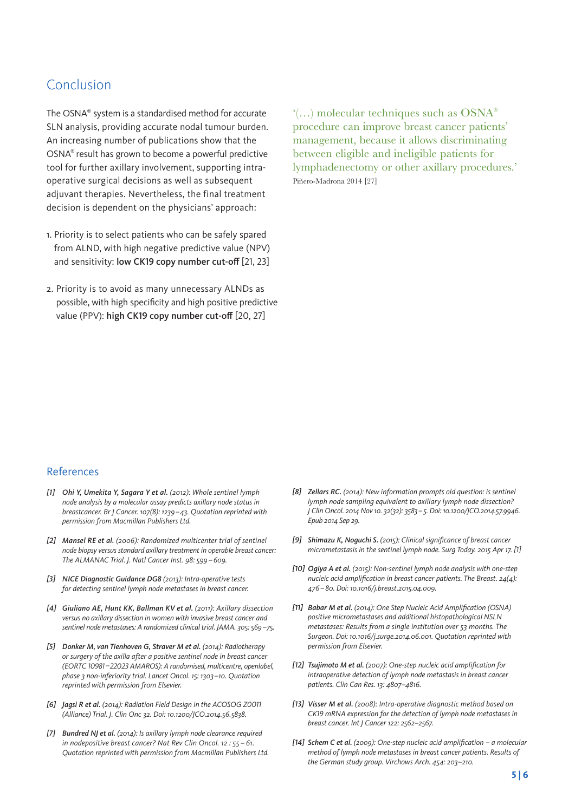### Conclusion

The OSNA® system is a standardised method for accurate SLN analysis, providing accurate nodal tumour burden. An increasing number of publications show that the OSNA® result has grown to become a powerful predictive tool for further axillary involvement, supporting intraoperative surgical decisions as well as subsequent adjuvant therapies. Nevertheless, the final treatment decision is dependent on the physicians' approach:

- 1. Priority is to select patients who can be safely spared from ALND, with high negative predictive value (NPV) and sensitivity: low CK19 copy number cut-off [21, 23]
- 2. Priority is to avoid as many unnecessary ALNDs as possible, with high specificity and high positive predictive value (PPV): high CK19 copy number cut-off [20, 27]

'(…) molecular techniques such as OSNA® procedure can improve breast cancer patients' management, because it allows discriminating between eligible and ineligible patients for lymphadenectomy or other axillary procedures.' Piñero-Madrona 2014 [27]

#### References

- *[1] Ohi Y, Umekita Y, Sagara Y et al. (2012): Whole sentinel lymph node analysis by a molecular assay predicts axillary node status in breastcancer. Br J Cancer. 107(8): 1239–43. Quotation reprinted with permission from Macmillan Publishers Ltd.*
- *[2] Mansel RE et al. (2006): Randomized multicenter trial of sentinel node biopsy versus standard axillary treatment in operable breast cancer: The ALMANAC Trial. J. Natl Cancer Inst. 98: 599–609.*
- *[3] NICE Diagnostic Guidance DG8 (2013): Intra-operative tests for detecting sentinel lymph node metastases in breast cancer.*
- *[4] Giuliano AE, Hunt KK, Ballman KV et al. (2011): Axillary dissection versus no axillary dissection in women with invasive breast cancer and sentinel node metastases: A randomized clinical trial. JAMA. 305: 569–75.*
- *[5] Donker M, van Tienhoven G, Straver M et al. (2014): Radiotherapy or surgery of the axilla after a positive sentinel node in breast cancer (EORTC 10981–22023 AMAROS): A randomised, multicentre, openlabel, phase 3 non-inferiority trial. Lancet Oncol. 15: 1303–10. Quotation reprinted with permission from Elsevier.*
- *[6] Jagsi R et al. (2014): Radiation Field Design in the ACOSOG Z0011 (Alliance) Trial. J. Clin Onc 32. Doi: 10.1200/JCO.2014.56.5838.*
- *[7] Bundred NJ et al. (2014): Is axillary lymph node clearance required in nodepositive breast cancer? Nat Rev Clin Oncol. 12 : 55 – 61. Quotation reprinted with permission from Macmillan Publishers Ltd.*
- *[8] Zellars RC. (2014): New information prompts old question: is sentinel lymph node sampling equivalent to axillary lymph node dissection? J Clin Oncol. 2014 Nov 10. 32(32): 3583–5. Doi: 10.1200/JCO.2014.57.9946. Epub 2014 Sep 29.*
- *[9] Shimazu K, Noguchi S. (2015): Clinical significance of breast cancer micrometastasis in the sentinel lymph node. Surg Today. 2015 Apr 17. [1]*
- *[10] Ogiya A et al. (2015): Non-sentinel lymph node analysis with one-step nucleic acid amplification in breast cancer patients. The Breast. 24(4): 476–80. Doi: 10.1016/j.breast.2015.04.009.*
- *[11] Babar M et al. (2014): One Step Nucleic Acid Amplification (OSNA) positive micrometastases and additional histopathological NSLN metastases: Results from a single institution over 53 months. The Surgeon. Doi: 10.1016/j.surge.2014.06.001. Quotation reprinted with permission from Elsevier.*
- *[12] Tsujimoto M et al. (2007): One-step nucleic acid amplification for intraoperative detection of lymph node metastasis in breast cancer patients. Clin Can Res. 13: 4807–4816.*
- *[13] Visser M et al. (2008): Intra-operative diagnostic method based on CK19 mRNA expression for the detection of lymph node metastases in breast cancer. Int J Cancer 122: 2562–2567.*
- *[14] Schem C et al. (2009): One-step nucleic acid amplification a molecular method of lymph node metastases in breast cancer patients. Results of the German study group. Virchows Arch. 454: 203–210.*